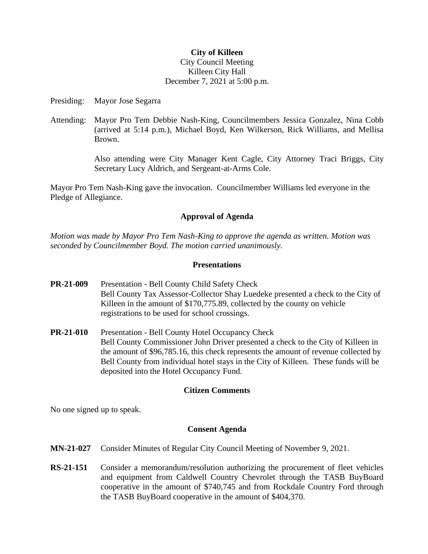#### **City of Killeen**

### City Council Meeting Killeen City Hall December 7, 2021 at 5:00 p.m.

Presiding: Mayor Jose Segarra

Attending: Mayor Pro Tem Debbie Nash-King, Councilmembers Jessica Gonzalez, Nina Cobb (arrived at 5:14 p.m.), Michael Boyd, Ken Wilkerson, Rick Williams, and Mellisa Brown.

> Also attending were City Manager Kent Cagle, City Attorney Traci Briggs, City Secretary Lucy Aldrich, and Sergeant-at-Arms Cole.

Mayor Pro Tem Nash-King gave the invocation. Councilmember Williams led everyone in the Pledge of Allegiance.

## **Approval of Agenda**

*Motion was made by Mayor Pro Tem Nash-King to approve the agenda as written. Motion was seconded by Councilmember Boyd. The motion carried unanimously.*

### **Presentations**

- **PR-21-009** Presentation Bell County Child Safety Check Bell County Tax Assessor-Collector Shay Luedeke presented a check to the City of Killeen in the amount of \$170,775.89, collected by the county on vehicle registrations to be used for school crossings.
- **PR-21-010** Presentation Bell County Hotel Occupancy Check Bell County Commissioner John Driver presented a check to the City of Killeen in the amount of \$96,785.16, this check represents the amount of revenue collected by Bell County from individual hotel stays in the City of Killeen. These funds will be deposited into the Hotel Occupancy Fund.

### **Citizen Comments**

No one signed up to speak.

### **Consent Agenda**

- **MN-21-027** Consider Minutes of Regular City Council Meeting of November 9, 2021.
- **RS-21-151** Consider a memorandum/resolution authorizing the procurement of fleet vehicles and equipment from Caldwell Country Chevrolet through the TASB BuyBoard cooperative in the amount of \$740,745 and from Rockdale Country Ford through the TASB BuyBoard cooperative in the amount of \$404,370.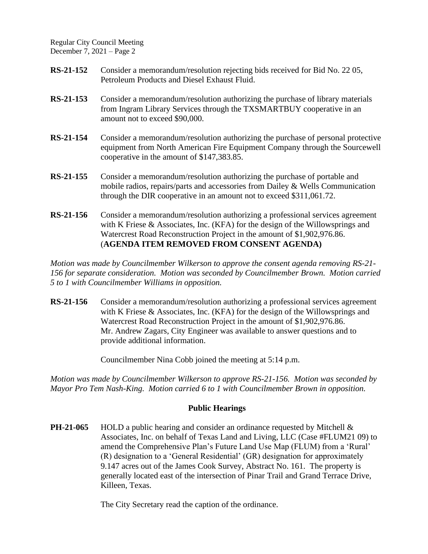Regular City Council Meeting December 7, 2021 – Page 2

- **RS-21-152** Consider a memorandum/resolution rejecting bids received for Bid No. 22 05, Petroleum Products and Diesel Exhaust Fluid.
- **RS-21-153** Consider a memorandum/resolution authorizing the purchase of library materials from Ingram Library Services through the TXSMARTBUY cooperative in an amount not to exceed \$90,000.
- **RS-21-154** Consider a memorandum/resolution authorizing the purchase of personal protective equipment from North American Fire Equipment Company through the Sourcewell cooperative in the amount of \$147,383.85.
- **RS-21-155** Consider a memorandum/resolution authorizing the purchase of portable and mobile radios, repairs/parts and accessories from Dailey & Wells Communication through the DIR cooperative in an amount not to exceed \$311,061.72.
- **RS-21-156** Consider a memorandum/resolution authorizing a professional services agreement with K Friese & Associates, Inc. (KFA) for the design of the Willowsprings and Watercrest Road Reconstruction Project in the amount of \$1,902,976.86. (**AGENDA ITEM REMOVED FROM CONSENT AGENDA)**

*Motion was made by Councilmember Wilkerson to approve the consent agenda removing RS-21- 156 for separate consideration. Motion was seconded by Councilmember Brown. Motion carried 5 to 1 with Councilmember Williams in opposition.*

**RS-21-156** Consider a memorandum/resolution authorizing a professional services agreement with K Friese & Associates, Inc. (KFA) for the design of the Willowsprings and Watercrest Road Reconstruction Project in the amount of \$1,902,976.86. Mr. Andrew Zagars, City Engineer was available to answer questions and to provide additional information.

Councilmember Nina Cobb joined the meeting at 5:14 p.m.

*Motion was made by Councilmember Wilkerson to approve RS-21-156. Motion was seconded by Mayor Pro Tem Nash-King. Motion carried 6 to 1 with Councilmember Brown in opposition.*

# **Public Hearings**

**PH-21-065** HOLD a public hearing and consider an ordinance requested by Mitchell & Associates, Inc. on behalf of Texas Land and Living, LLC (Case #FLUM21 09) to amend the Comprehensive Plan's Future Land Use Map (FLUM) from a 'Rural' (R) designation to a 'General Residential' (GR) designation for approximately 9.147 acres out of the James Cook Survey, Abstract No. 161. The property is generally located east of the intersection of Pinar Trail and Grand Terrace Drive, Killeen, Texas.

The City Secretary read the caption of the ordinance.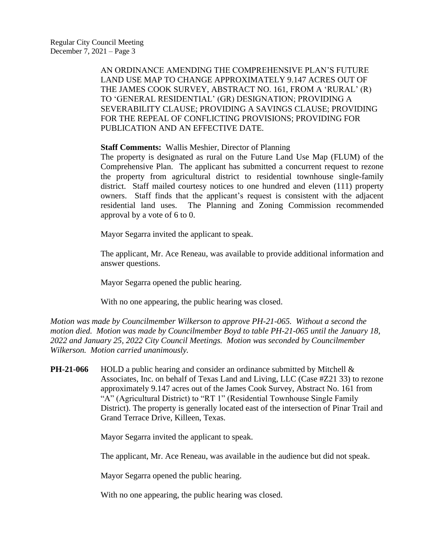AN ORDINANCE AMENDING THE COMPREHENSIVE PLAN'S FUTURE LAND USE MAP TO CHANGE APPROXIMATELY 9.147 ACRES OUT OF THE JAMES COOK SURVEY, ABSTRACT NO. 161, FROM A 'RURAL' (R) TO 'GENERAL RESIDENTIAL' (GR) DESIGNATION; PROVIDING A SEVERABILITY CLAUSE; PROVIDING A SAVINGS CLAUSE; PROVIDING FOR THE REPEAL OF CONFLICTING PROVISIONS; PROVIDING FOR PUBLICATION AND AN EFFECTIVE DATE.

### **Staff Comments:** Wallis Meshier, Director of Planning

The property is designated as rural on the Future Land Use Map (FLUM) of the Comprehensive Plan. The applicant has submitted a concurrent request to rezone the property from agricultural district to residential townhouse single-family district. Staff mailed courtesy notices to one hundred and eleven (111) property owners. Staff finds that the applicant's request is consistent with the adjacent residential land uses. The Planning and Zoning Commission recommended approval by a vote of 6 to 0.

Mayor Segarra invited the applicant to speak.

The applicant, Mr. Ace Reneau, was available to provide additional information and answer questions.

Mayor Segarra opened the public hearing.

With no one appearing, the public hearing was closed.

*Motion was made by Councilmember Wilkerson to approve PH-21-065. Without a second the motion died. Motion was made by Councilmember Boyd to table PH-21-065 until the January 18, 2022 and January 25, 2022 City Council Meetings. Motion was seconded by Councilmember Wilkerson. Motion carried unanimously.*

**PH-21-066** HOLD a public hearing and consider an ordinance submitted by Mitchell & Associates, Inc. on behalf of Texas Land and Living, LLC (Case #Z21 33) to rezone approximately 9.147 acres out of the James Cook Survey, Abstract No. 161 from "A" (Agricultural District) to "RT 1" (Residential Townhouse Single Family District). The property is generally located east of the intersection of Pinar Trail and Grand Terrace Drive, Killeen, Texas.

Mayor Segarra invited the applicant to speak.

The applicant, Mr. Ace Reneau, was available in the audience but did not speak.

Mayor Segarra opened the public hearing.

With no one appearing, the public hearing was closed.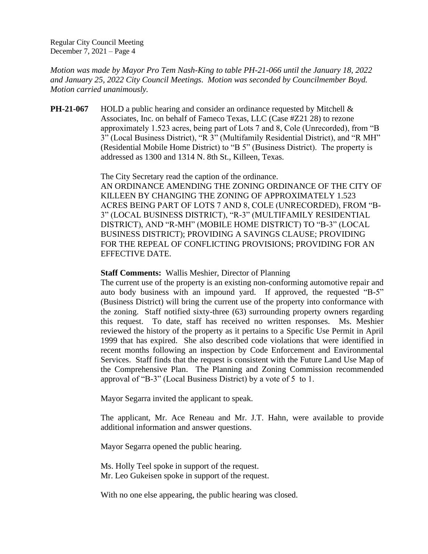Regular City Council Meeting December 7, 2021 – Page 4

*Motion was made by Mayor Pro Tem Nash-King to table PH-21-066 until the January 18, 2022 and January 25, 2022 City Council Meetings. Motion was seconded by Councilmember Boyd. Motion carried unanimously.*

**PH-21-067** HOLD a public hearing and consider an ordinance requested by Mitchell & Associates, Inc. on behalf of Fameco Texas, LLC (Case #Z21 28) to rezone approximately 1.523 acres, being part of Lots 7 and 8, Cole (Unrecorded), from "B 3" (Local Business District), "R 3" (Multifamily Residential District), and "R MH" (Residential Mobile Home District) to "B 5" (Business District). The property is addressed as 1300 and 1314 N. 8th St., Killeen, Texas.

> The City Secretary read the caption of the ordinance. AN ORDINANCE AMENDING THE ZONING ORDINANCE OF THE CITY OF KILLEEN BY CHANGING THE ZONING OF APPROXIMATELY 1.523 ACRES BEING PART OF LOTS 7 AND 8, COLE (UNRECORDED), FROM "B-3" (LOCAL BUSINESS DISTRICT), "R-3" (MULTIFAMILY RESIDENTIAL DISTRICT), AND "R-MH" (MOBILE HOME DISTRICT) TO "B-3" (LOCAL BUSINESS DISTRICT); PROVIDING A SAVINGS CLAUSE; PROVIDING FOR THE REPEAL OF CONFLICTING PROVISIONS; PROVIDING FOR AN EFFECTIVE DATE.

#### **Staff Comments:** Wallis Meshier, Director of Planning

The current use of the property is an existing non-conforming automotive repair and auto body business with an impound yard. If approved, the requested "B-5" (Business District) will bring the current use of the property into conformance with the zoning. Staff notified sixty-three (63) surrounding property owners regarding this request. To date, staff has received no written responses. Ms. Meshier reviewed the history of the property as it pertains to a Specific Use Permit in April 1999 that has expired. She also described code violations that were identified in recent months following an inspection by Code Enforcement and Environmental Services. Staff finds that the request is consistent with the Future Land Use Map of the Comprehensive Plan. The Planning and Zoning Commission recommended approval of "B-3" (Local Business District) by a vote of 5 to 1.

Mayor Segarra invited the applicant to speak.

The applicant, Mr. Ace Reneau and Mr. J.T. Hahn, were available to provide additional information and answer questions.

Mayor Segarra opened the public hearing.

Ms. Holly Teel spoke in support of the request. Mr. Leo Gukeisen spoke in support of the request.

With no one else appearing, the public hearing was closed.